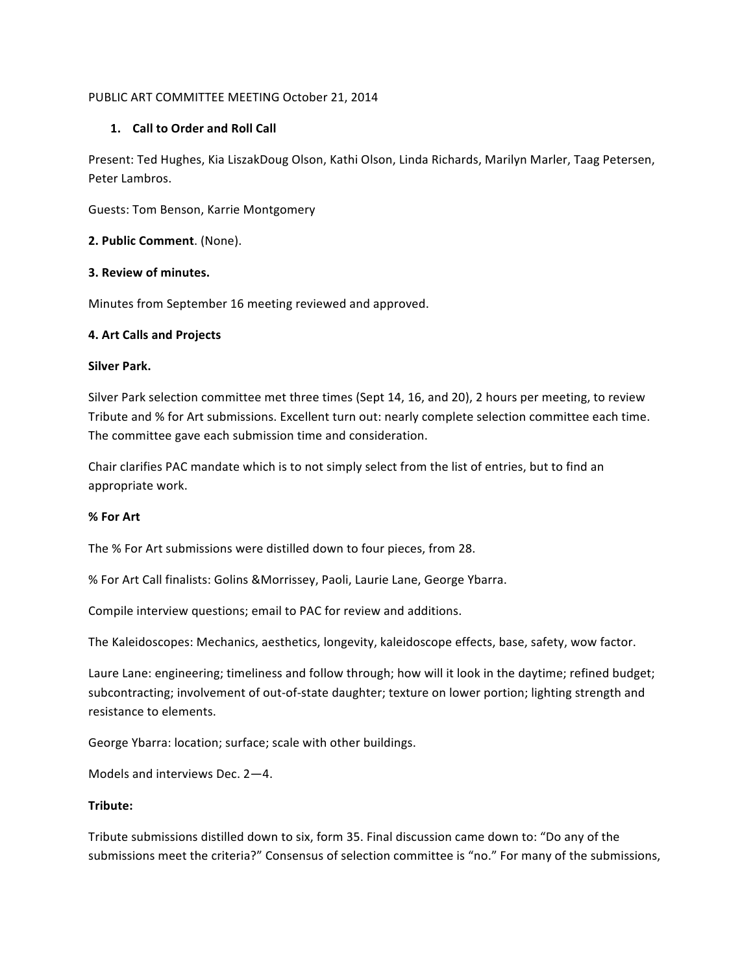## PUBLIC ART COMMITTEE MEETING October 21, 2014

# 1. **Call to Order and Roll Call**

Present: Ted Hughes, Kia LiszakDoug Olson, Kathi Olson, Linda Richards, Marilyn Marler, Taag Petersen, Peter Lambros.

Guests: Tom Benson, Karrie Montgomery

### 2. Public Comment. (None).

### **3. Review of minutes.**

Minutes from September 16 meeting reviewed and approved.

### **4. Art Calls and Projects**

### **Silver Park.**

Silver Park selection committee met three times (Sept 14, 16, and 20), 2 hours per meeting, to review Tribute and % for Art submissions. Excellent turn out: nearly complete selection committee each time. The committee gave each submission time and consideration.

Chair clarifies PAC mandate which is to not simply select from the list of entries, but to find an appropriate work.

### **% For Art**

The % For Art submissions were distilled down to four pieces, from 28.

% For Art Call finalists: Golins & Morrissey, Paoli, Laurie Lane, George Ybarra.

Compile interview questions; email to PAC for review and additions.

The Kaleidoscopes: Mechanics, aesthetics, longevity, kaleidoscope effects, base, safety, wow factor.

Laure Lane: engineering; timeliness and follow through; how will it look in the daytime; refined budget; subcontracting; involvement of out-of-state daughter; texture on lower portion; lighting strength and resistance to elements.

George Ybarra: location; surface; scale with other buildings.

Models and interviews Dec.  $2-4$ .

### **Tribute:**

Tribute submissions distilled down to six, form 35. Final discussion came down to: "Do any of the submissions meet the criteria?" Consensus of selection committee is "no." For many of the submissions,